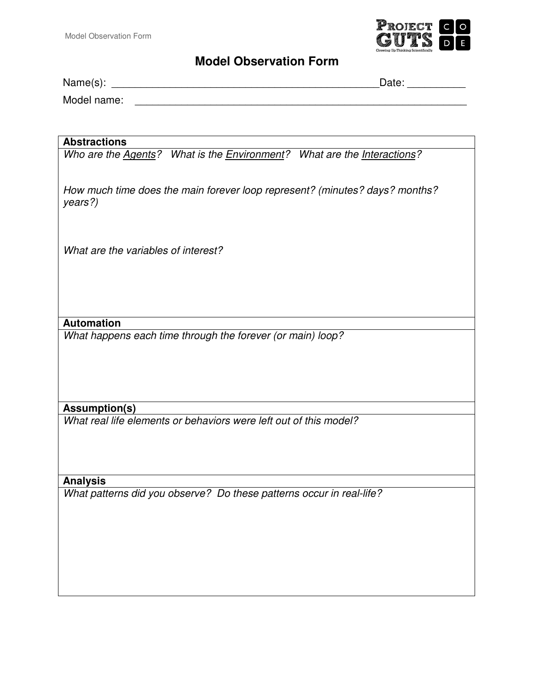

# **Model Observation Form**

| Name(s):    | Date: |  |
|-------------|-------|--|
| Model name: |       |  |

| <b>Abstractions</b>                                                         |
|-----------------------------------------------------------------------------|
| Who are the Agents? What is the Environment? What are the Interactions?     |
|                                                                             |
|                                                                             |
| How much time does the main forever loop represent? (minutes? days? months? |
| years?)                                                                     |
|                                                                             |
|                                                                             |
|                                                                             |
| What are the variables of interest?                                         |
|                                                                             |
|                                                                             |
|                                                                             |
|                                                                             |
|                                                                             |
|                                                                             |
| <b>Automation</b>                                                           |
| What happens each time through the forever (or main) loop?                  |
|                                                                             |
|                                                                             |
|                                                                             |
|                                                                             |
|                                                                             |
| <b>Assumption(s)</b>                                                        |
| What real life elements or behaviors were left out of this model?           |
|                                                                             |
|                                                                             |
|                                                                             |
|                                                                             |
| <b>Analysis</b>                                                             |
| What patterns did you observe? Do these patterns occur in real-life?        |
|                                                                             |
|                                                                             |
|                                                                             |
|                                                                             |
|                                                                             |
|                                                                             |
|                                                                             |
|                                                                             |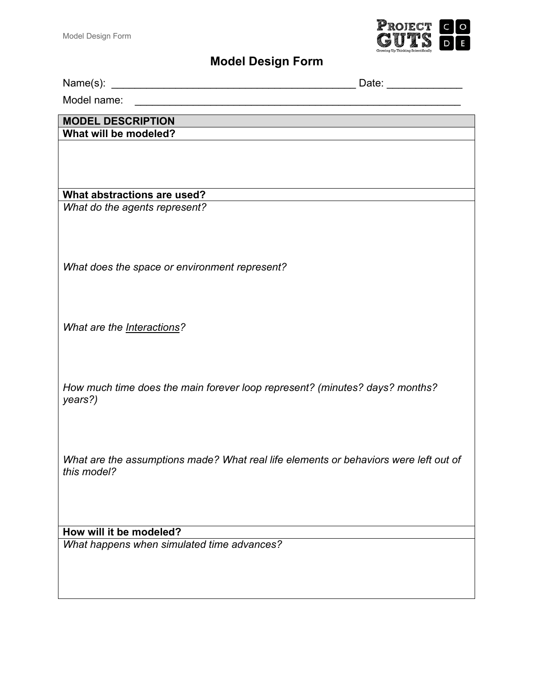

# **Model Design Form**

| Date: the contract of the contract of the contract of the contract of the contract of the contract of the contract of the contract of the contract of the contract of the contract of the contract of the contract of the cont                          |
|---------------------------------------------------------------------------------------------------------------------------------------------------------------------------------------------------------------------------------------------------------|
| Model name:<br><u> 2000 - Jan Barnett, mars et al. 1980 - Anna anno 1980.</u>                                                                                                                                                                           |
| <b>MODEL DESCRIPTION</b>                                                                                                                                                                                                                                |
| What will be modeled?                                                                                                                                                                                                                                   |
|                                                                                                                                                                                                                                                         |
|                                                                                                                                                                                                                                                         |
| What abstractions are used?                                                                                                                                                                                                                             |
| What do the agents represent?                                                                                                                                                                                                                           |
|                                                                                                                                                                                                                                                         |
|                                                                                                                                                                                                                                                         |
| What does the space or environment represent?                                                                                                                                                                                                           |
|                                                                                                                                                                                                                                                         |
|                                                                                                                                                                                                                                                         |
|                                                                                                                                                                                                                                                         |
| What are the Interactions?                                                                                                                                                                                                                              |
|                                                                                                                                                                                                                                                         |
|                                                                                                                                                                                                                                                         |
|                                                                                                                                                                                                                                                         |
|                                                                                                                                                                                                                                                         |
|                                                                                                                                                                                                                                                         |
|                                                                                                                                                                                                                                                         |
| this model?                                                                                                                                                                                                                                             |
|                                                                                                                                                                                                                                                         |
|                                                                                                                                                                                                                                                         |
|                                                                                                                                                                                                                                                         |
|                                                                                                                                                                                                                                                         |
|                                                                                                                                                                                                                                                         |
|                                                                                                                                                                                                                                                         |
| How much time does the main forever loop represent? (minutes? days? months?<br>years?)<br>What are the assumptions made? What real life elements or behaviors were left out of<br>How will it be modeled?<br>What happens when simulated time advances? |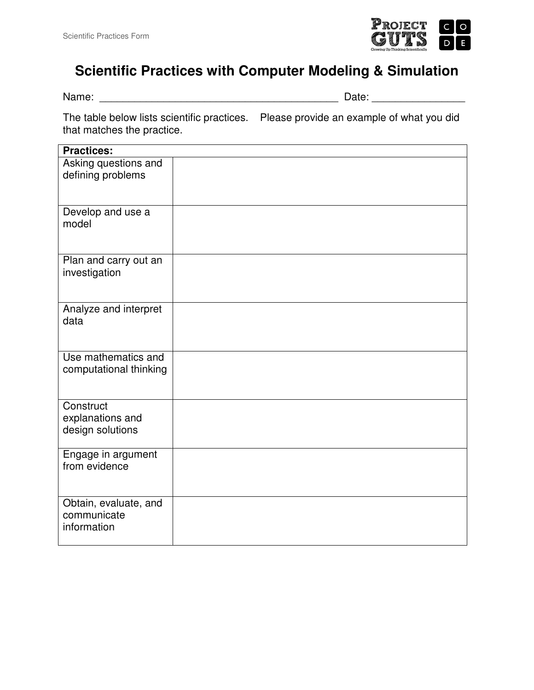

# **Scientific Practices with Computer Modeling & Simulation**

Name: et al. 2010 and 2010 and 2010 and 2010 and 2010 and 2010 and 2010 and 2010 and 2010 and 2010 and 2010 and 2010 and 2010 and 2010 and 2010 and 2010 and 2010 and 2010 and 2010 and 2010 and 2010 and 2010 and 2010 and 20

The table below lists scientific practices. Please provide an example of what you did that matches the practice.

| <b>Practices:</b>                    |  |
|--------------------------------------|--|
| Asking questions and                 |  |
| defining problems                    |  |
|                                      |  |
| Develop and use a                    |  |
| model                                |  |
|                                      |  |
|                                      |  |
| Plan and carry out an                |  |
| investigation                        |  |
|                                      |  |
| Analyze and interpret                |  |
| data                                 |  |
|                                      |  |
| Use mathematics and                  |  |
| computational thinking               |  |
|                                      |  |
|                                      |  |
| Construct                            |  |
| explanations and                     |  |
| design solutions                     |  |
| Engage in argument                   |  |
| from evidence                        |  |
|                                      |  |
|                                      |  |
| Obtain, evaluate, and<br>communicate |  |
| information                          |  |
|                                      |  |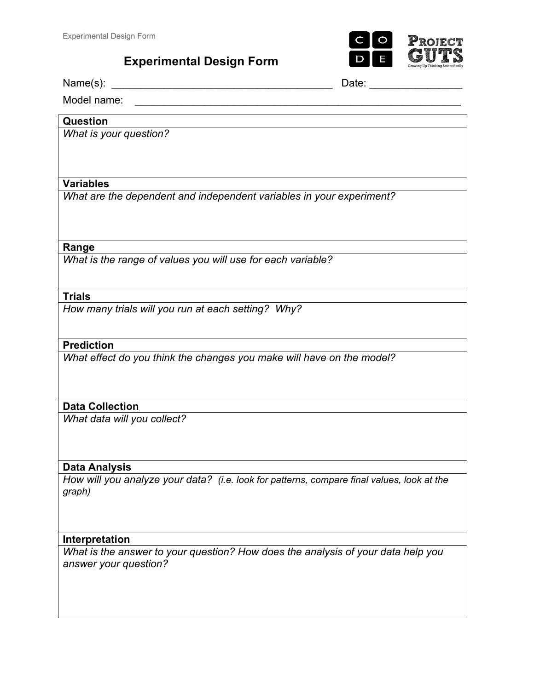# **Experimental Design Form**



Name(s): \_\_\_\_\_\_\_\_\_\_\_\_\_\_\_\_\_\_\_\_\_\_\_\_\_\_\_\_\_\_\_\_\_\_\_\_\_\_ Date: \_\_\_\_\_\_\_\_\_\_\_\_\_\_\_\_

Model name:

### **Question**

*What is your question?*

### **Variables**

*What are the dependent and independent variables in your experiment?*

# **Range**

*What is the range of values you will use for each variable?*

### **Trials**

*How many trials will you run at each setting? Why?*

#### **Prediction**

*What effect do you think the changes you make will have on the model?*

### **Data Collection**

*What data will you collect?*

### **Data Analysis**

*How will you analyze your data? (i.e. look for patterns, compare final values, look at the graph)*

### **Interpretation**

*What is the answer to your question? How does the analysis of your data help you answer your question?*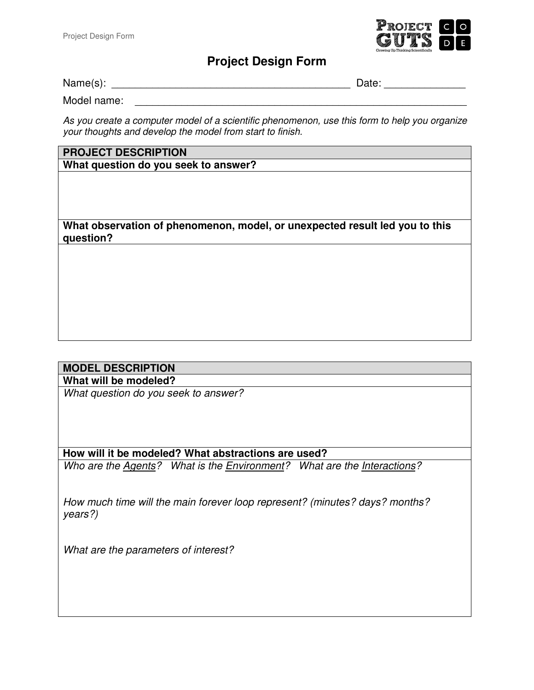

# **Project Design Form**

| Name(s): | Date: |
|----------|-------|
|          |       |

Model name:

As you create a computer model of a scientific phenomenon, use this form to help you organize your thoughts and develop the model from start to finish.

# **PROJECT DESCRIPTION What question do you seek to answer?**

**What observation of phenomenon, model, or unexpected result led you to this question?**

### **MODEL DESCRIPTION What will be modeled?**

What question do you seek to answer?

# **How will it be modeled? What abstractions are used?**

Who are the Agents? What is the Environment? What are the Interactions?

How much time will the main forever loop represent? (minutes? days? months? years?)

What are the parameters of interest?